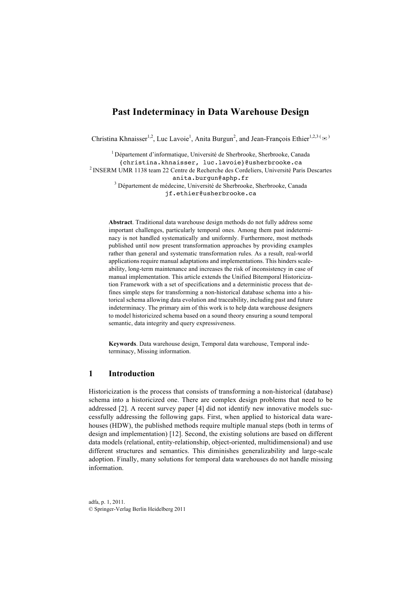# **Past Indeterminacy in Data Warehouse Design**

Christina Khnaisser<sup>1,2</sup>, Luc Lavoie<sup>1</sup>, Anita Burgun<sup>2</sup>, and Jean-François Ethier<sup>1,2,3 (</sup> $\approx$ )

 $1$  Département d'informatique, Université de Sherbrooke, Sherbrooke, Canada {christina.khnaisser, luc.lavoie}@usherbrooke.ca 2 INSERM UMR 1138 team 22 Centre de Recherche des Cordeliers, Université Paris Descartes anita.burgun@aphp.fr <sup>3</sup> Département de médecine, Université de Sherbrooke, Sherbrooke, Canada jf.ethier@usherbrooke.ca

**Abstract**. Traditional data warehouse design methods do not fully address some important challenges, particularly temporal ones. Among them past indeterminacy is not handled systematically and uniformly. Furthermore, most methods published until now present transformation approaches by providing examples rather than general and systematic transformation rules. As a result, real-world applications require manual adaptations and implementations. This hinders scaleability, long-term maintenance and increases the risk of inconsistency in case of manual implementation. This article extends the Unified Bitemporal Historicization Framework with a set of specifications and a deterministic process that defines simple steps for transforming a non-historical database schema into a historical schema allowing data evolution and traceability, including past and future indeterminacy. The primary aim of this work is to help data warehouse designers to model historicized schema based on a sound theory ensuring a sound temporal semantic, data integrity and query expressiveness.

**Keywords**. Data warehouse design, Temporal data warehouse, Temporal indeterminacy, Missing information.

## **1 Introduction**

Historicization is the process that consists of transforming a non-historical (database) schema into a historicized one. There are complex design problems that need to be addressed [2]. A recent survey paper [4] did not identify new innovative models successfully addressing the following gaps. First, when applied to historical data warehouses (HDW), the published methods require multiple manual steps (both in terms of design and implementation) [12]. Second, the existing solutions are based on different data models (relational, entity-relationship, object-oriented, multidimensional) and use different structures and semantics. This diminishes generalizability and large-scale adoption. Finally, many solutions for temporal data warehouses do not handle missing information.

adfa, p. 1, 2011. © Springer-Verlag Berlin Heidelberg 2011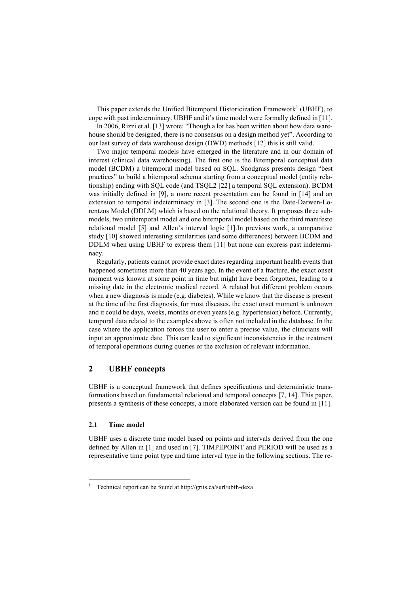This paper extends the Unified Bitemporal Historicization Framework<sup>1</sup> (UBHF), to cope with past indeterminacy. UBHF and it's time model were formally defined in [11].

In 2006, Rizzi et al. [13] wrote: "Though a lot has been written about how data warehouse should be designed, there is no consensus on a design method yet". According to our last survey of data warehouse design (DWD) methods [12] this is still valid.

Two major temporal models have emerged in the literature and in our domain of interest (clinical data warehousing). The first one is the Bitemporal conceptual data model (BCDM) a bitemporal model based on SQL. Snodgrass presents design "best practices" to build a bitemporal schema starting from a conceptual model (entity relationship) ending with SQL code (and TSQL2 [22] a temporal SQL extension). BCDM was initially defined in [9], a more recent presentation can be found in [14] and an extension to temporal indeterminacy in [3]. The second one is the Date-Darwen-Lorentzos Model (DDLM) which is based on the relational theory. It proposes three submodels, two unitemporal model and one bitemporal model based on the third manifesto relational model [5] and Allen's interval logic [1].In previous work, a comparative study [10] showed interesting similarities (and some differences) between BCDM and DDLM when using UBHF to express them [11] but none can express past indeterminacy.

Regularly, patients cannot provide exact dates regarding important health events that happened sometimes more than 40 years ago. In the event of a fracture, the exact onset moment was known at some point in time but might have been forgotten, leading to a missing date in the electronic medical record. A related but different problem occurs when a new diagnosis is made (e.g. diabetes). While we know that the disease is present at the time of the first diagnosis, for most diseases, the exact onset moment is unknown and it could be days, weeks, months or even years (e.g. hypertension) before. Currently, temporal data related to the examples above is often not included in the database. In the case where the application forces the user to enter a precise value, the clinicians will input an approximate date. This can lead to significant inconsistencies in the treatment of temporal operations during queries or the exclusion of relevant information.

## **2 UBHF concepts**

UBHF is a conceptual framework that defines specifications and deterministic transformations based on fundamental relational and temporal concepts [7, 14]. This paper, presents a synthesis of these concepts, a more elaborated version can be found in [11].

### **2.1 Time model**

UBHF uses a discrete time model based on points and intervals derived from the one defined by Allen in [1] and used in [7]. TIMPEPOINT and PERIOD will be used as a representative time point type and time interval type in the following sections. The re-

 <sup>1</sup> Technical report can be found at http://griis.ca/surl/ubfh-dexa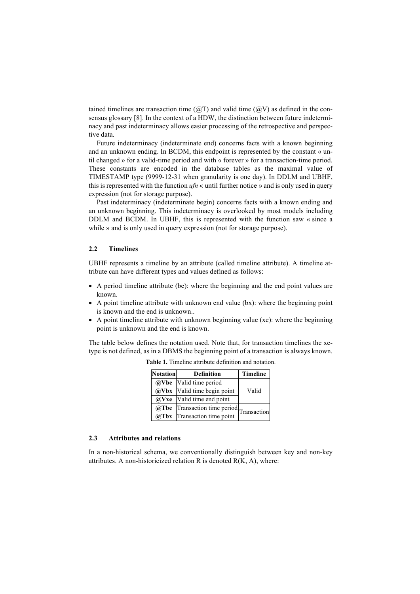tained timelines are transaction time  $(QT)$  and valid time  $(QV)$  as defined in the consensus glossary [8]. In the context of a HDW, the distinction between future indeterminacy and past indeterminacy allows easier processing of the retrospective and perspective data.

Future indeterminacy (indeterminate end) concerns facts with a known beginning and an unknown ending. In BCDM, this endpoint is represented by the constant « until changed » for a valid-time period and with « forever » for a transaction-time period. These constants are encoded in the database tables as the maximal value of TIMESTAMP type (9999-12-31 when granularity is one day). In DDLM and UBHF, this is represented with the function  $u/n \ll \text{until further notice } \gg$  and is only used in query expression (not for storage purpose).

Past indeterminacy (indeterminate begin) concerns facts with a known ending and an unknown beginning. This indeterminacy is overlooked by most models including DDLM and BCDM. In UBHF, this is represented with the function saw « since a while » and is only used in query expression (not for storage purpose).

### **2.2 Timelines**

UBHF represents a timeline by an attribute (called timeline attribute). A timeline attribute can have different types and values defined as follows:

- A period timeline attribute (be): where the beginning and the end point values are known.
- A point timeline attribute with unknown end value (bx): where the beginning point is known and the end is unknown..
- A point timeline attribute with unknown beginning value (xe): where the beginning point is unknown and the end is known.

The table below defines the notation used. Note that, for transaction timelines the xetype is not defined, as in a DBMS the beginning point of a transaction is always known.

| <b>Notation</b> | <b>Definition</b>                     | <b>Timeline</b> |  |  |
|-----------------|---------------------------------------|-----------------|--|--|
|                 | <b><i>a</i></b> Vbe Valid time period |                 |  |  |
|                 | $@V$ bx Valid time begin point        | Valid           |  |  |
|                 | $\omega$ Vxe Valid time end point     |                 |  |  |
| @Tbe            | Transaction time period Transaction   |                 |  |  |
|                 | <b>@Tbx</b> Transaction time point    |                 |  |  |

**Table 1.** Timeline attribute definition and notation.

#### **2.3 Attributes and relations**

In a non-historical schema, we conventionally distinguish between key and non-key attributes. A non-historicized relation  $R$  is denoted  $R(K, A)$ , where: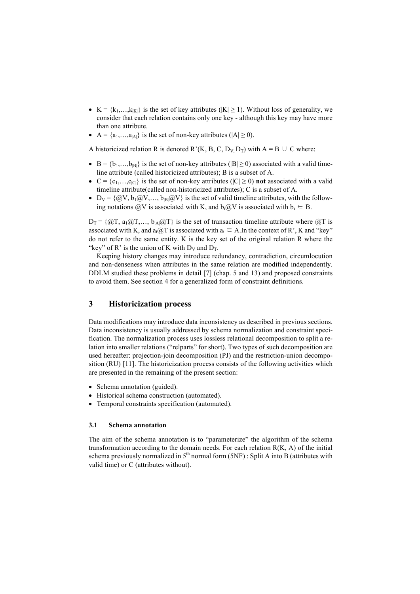- K = { $k_1,...,k_{|K|}$ } is the set of key attributes ( $|K| \ge 1$ ). Without loss of generality, we consider that each relation contains only one key - although this key may have more than one attribute.
- $A = \{a_1, \ldots, a_{|A|}\}\$ is the set of non-key attributes ( $|A| \ge 0$ ).

A historicized relation R is denoted R'(K, B, C, D<sub>V,</sub> D<sub>T</sub>) with A = B  $\cup$  C where:

- B = {b<sub>1</sub>,...,b<sub>|B|</sub>} is the set of non-key attributes (|B|  $\geq$  0) associated with a valid timeline attribute (called historicized attributes); B is a subset of A.
- $C = \{c_1, \ldots, c_{|C|}\}\$ is the set of non-key attributes  $(|C| \ge 0)$  not associated with a valid timeline attribute(called non-historicized attributes); C is a subset of A.
- $D_V = \{ \omega V, b_1 \omega V, \ldots, b_{\text{B}} \omega V \}$  is the set of valid timeline attributes, with the following notations @V is associated with K, and  $b_i@V$  is associated with  $b_i \in B$ .

 $D_T = \{ \omega T, a_1 \omega T, \ldots, b_{|A|} \omega T \}$  is the set of transaction timeline attribute where  $\omega T$  is associated with K, and  $a_i(\partial T)$  is associated with  $a_i \in A$ . In the context of R', K and "key" do not refer to the same entity. K is the key set of the original relation R where the "key" of R' is the union of K with  $D_V$  and  $D_T$ .

Keeping history changes may introduce redundancy, contradiction, circumlocution and non-denseness when attributes in the same relation are modified independently. DDLM studied these problems in detail [7] (chap. 5 and 13) and proposed constraints to avoid them. See section 4 for a generalized form of constraint definitions.

## **3 Historicization process**

Data modifications may introduce data inconsistency as described in previous sections. Data inconsistency is usually addressed by schema normalization and constraint specification. The normalization process uses lossless relational decomposition to split a relation into smaller relations ("relparts" for short). Two types of such decomposition are used hereafter: projection-join decomposition (PJ) and the restriction-union decomposition (RU) [11]. The historicization process consists of the following activities which are presented in the remaining of the present section:

- Schema annotation (guided).
- Historical schema construction (automated).
- Temporal constraints specification (automated).

## **3.1 Schema annotation**

The aim of the schema annotation is to "parameterize" the algorithm of the schema transformation according to the domain needs. For each relation  $R(K, A)$  of the initial schema previously normalized in  $5<sup>th</sup>$  normal form (5NF) : Split A into B (attributes with valid time) or C (attributes without).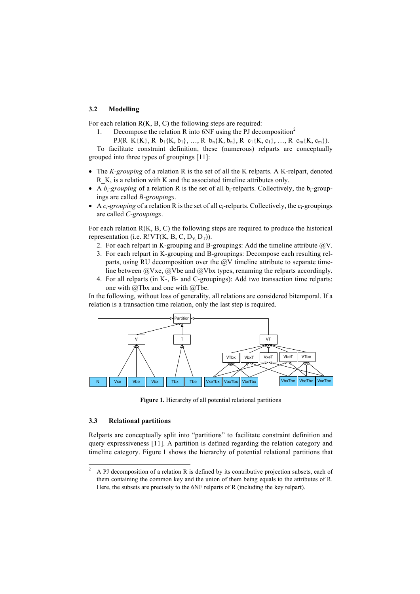### **3.2 Modelling**

For each relation  $R(K, B, C)$  the following steps are required:

- 1. Decompose the relation R into 6NF using the PJ decomposition<sup>2</sup>
	- PJ(R\_K{K}, R\_b<sub>1</sub>{K, b<sub>1</sub>}, …, R\_b<sub>n</sub>{K, b<sub>n</sub>}, R\_c<sub>1</sub>{K, c<sub>1</sub>}, …, R\_c<sub>m</sub>{K, c<sub>m</sub>}).

To facilitate constraint definition, these (numerous) relparts are conceptually grouped into three types of groupings [11]:

- The *K-grouping* of a relation R is the set of all the K relparts. A K-relpart, denoted R<sub>K</sub>, is a relation with K and the associated timeline attributes only.
- A  $b_i$ -grouping of a relation R is the set of all  $b_i$ -relparts. Collectively, the  $b_i$ -groupings are called *B-groupings*.
- A  $c_i$ -grouping of a relation R is the set of all  $c_i$ -relparts. Collectively, the  $c_i$ -groupings are called *C-groupings*.

For each relation  $R(K, B, C)$  the following steps are required to produce the historical representation (i.e. R!VT(K, B, C,  $D_V$  D<sub>T</sub>)).

- 2. For each relpart in K-grouping and B-groupings: Add the timeline attribute  $\omega$ V.
- 3. For each relpart in K-grouping and B-groupings: Decompose each resulting relparts, using RU decomposition over the  $(a)$ V timeline attribute to separate timeline between  $\omega$ Vxe,  $\omega$ Vbe and  $\omega$ Vbx types, renaming the relparts accordingly.
- 4. For all relparts (in K-, B- and C-groupings): Add two transaction time relparts: one with  $@Tbx$  and one with  $@Tbe$ .

In the following, without loss of generality, all relations are considered bitemporal. If a relation is a transaction time relation, only the last step is required.



**Figure 1.** Hierarchy of all potential relational partitions

## **3.3 Relational partitions**

Relparts are conceptually split into "partitions" to facilitate constraint definition and query expressiveness [11]. A partition is defined regarding the relation category and timeline category. Figure 1 shows the hierarchy of potential relational partitions that

<sup>&</sup>lt;sup>2</sup> A PJ decomposition of a relation R is defined by its contributive projection subsets, each of them containing the common key and the union of them being equals to the attributes of R. Here, the subsets are precisely to the 6NF relparts of R (including the key relpart).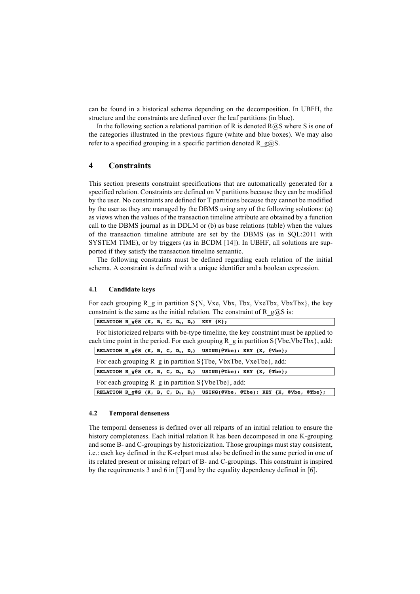can be found in a historical schema depending on the decomposition. In UBFH, the structure and the constraints are defined over the leaf partitions (in blue).

In the following section a relational partition of R is denoted  $R@S$  where S is one of the categories illustrated in the previous figure (white and blue boxes). We may also refer to a specified grouping in a specific partition denoted R  $g\omega$ S.

## **4 Constraints**

This section presents constraint specifications that are automatically generated for a specified relation. Constraints are defined on V partitions because they can be modified by the user. No constraints are defined for T partitions because they cannot be modified by the user as they are managed by the DBMS using any of the following solutions: (a) as views when the values of the transaction timeline attribute are obtained by a function call to the DBMS journal as in DDLM or (b) as base relations (table) when the values of the transaction timeline attribute are set by the DBMS (as in SQL:2011 with SYSTEM TIME), or by triggers (as in BCDM [14]). In UBHF, all solutions are supported if they satisfy the transaction timeline semantic.

The following constraints must be defined regarding each relation of the initial schema. A constraint is defined with a unique identifier and a boolean expression.

## **4.1 Candidate keys**

For each grouping R\_g in partition S{N, Vxe, Vbx, Tbx, VxeTbx, VbxTbx}, the key constraint is the same as the initial relation. The constraint of R\_g@S is:

| RELATION R $q@S$ (K, B, C, D <sub>v</sub> , D <sub>r</sub> ) KEY $\{K\}$ ;                                                                                                                 |  |  |  |  |  |  |
|--------------------------------------------------------------------------------------------------------------------------------------------------------------------------------------------|--|--|--|--|--|--|
| For historicized relights with be-type timeline, the key constraint must be applied to<br>each time point in the period. For each grouping $R$ g in partition $S \{ Vbe, VbeTbx \}$ , add: |  |  |  |  |  |  |
| RELATION R g@S (K, B, C, D <sub>v</sub> , D <sub>r</sub> ) USING(@Vbe): KEY {K, @Vbe};                                                                                                     |  |  |  |  |  |  |
| For each grouping R g in partition $S$ {Tbe, VbxTbe, VxeTbe}, add:                                                                                                                         |  |  |  |  |  |  |
| RELATION R $q@S$ (K, B, C, D <sub>v</sub> , D <sub>n</sub> ) USING( $@Tbe$ ): KEY {K, $@Tbe$ };                                                                                            |  |  |  |  |  |  |
| For each grouping R $\,$ g in partition S{VbeTbe}, add:                                                                                                                                    |  |  |  |  |  |  |
| RELATION R g@S (K, B, C, D <sub>v</sub> , D <sub>r</sub> ) USING(@Vbe, @Tbe): KEY {K, @Vbe, @Tbe};                                                                                         |  |  |  |  |  |  |

#### **4.2 Temporal denseness**

The temporal denseness is defined over all relparts of an initial relation to ensure the history completeness. Each initial relation R has been decomposed in one K-grouping and some B- and C-groupings by historicization. Those groupings must stay consistent, i.e.: each key defined in the K-relpart must also be defined in the same period in one of its related present or missing relpart of B- and C-groupings. This constraint is inspired by the requirements 3 and 6 in [7] and by the equality dependency defined in [6].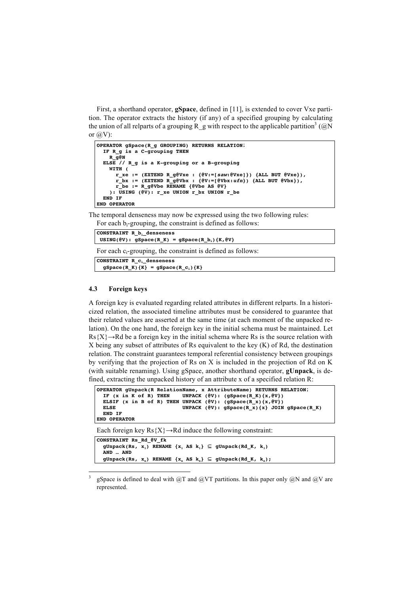First, a shorthand operator, **gSpace**, defined in [11], is extended to cover Vxe partition. The operator extracts the history (if any) of a specified grouping by calculating the union of all relparts of a grouping R\_g with respect to the applicable partition<sup>3</sup> (@N or  $\mathcal{D}(V)$ :

```
OPERATOR gSpace(R_g GROUPING) RETURNS RELATION;
   IF R_g is a C-grouping THEN
     R \overline{q}@N
   ELSE // R_g is a K-grouping or a B-grouping
      WITH (
        r_xe := (EXTEND R_g@Vxe : {@V:=[saw:@Vxe]}) {ALL BUT @Vxe}),
       \overline{r_{bx}} := (\text{extemp } R_{g}(\text{vbx } : \text{ (ev:=}[e \text{vbx}: ufn]) / \text{ (ALL BUT } e \text{vbx}) )r be r = R g@Vbe RENAME \{ @Vbe AS \{<sup>0</sup>V\} ): USING (@V): r_xe UNION r_bx UNION r_be
   END IF
END OPERATOR
```
The temporal denseness may now be expressed using the two following rules:

For each  $b_i$ -grouping, the constraint is defined as follows: **CONSTRAINT R\_bi\_denseness**

 $USING(\text{eV}):$  **gSpace(R\_K)** = **gSpace(R\_b**<sub>i</sub>){K, eV} For each c<sub>i</sub>-grouping, the constraint is defined as follows:

```
CONSTRAINT R_ci_denseness 
  gSpace(R K){K} = gSpace(R c_i){K}
```
## **4.3 Foreign keys**

A foreign key is evaluated regarding related attributes in different relparts. In a historicized relation, the associated timeline attributes must be considered to guarantee that their related values are asserted at the same time (at each moment of the unpacked relation). On the one hand, the foreign key in the initial schema must be maintained. Let  $Rs{X} \rightarrow Rd$  be a foreign key in the initial schema where Rs is the source relation with X being any subset of attributes of Rs equivalent to the key (K) of Rd, the destination relation. The constraint guarantees temporal referential consistency between groupings by verifying that the projection of Rs on X is included in the projection of Rd on K (with suitable renaming). Using gSpace, another shorthand operator, **gUnpack**, is defined, extracting the unpacked history of an attribute x of a specified relation R:

```
OPERATOR gUnpack(R RelationName, x AttributeName) RETURNS RELATION;<br>IF (x in K of R) THEN UNPACK (@V): (gSpace(R K){x,@V})
                               UNPACK (@V): (gSpace(R_K) {x, @V}) ELSIF (x in B of R) THEN UNPACK (@V): (gSpace(R_x){x,@V})
 ELSE UNPACK (@V): gSpace(R_x){x} JOIN gSpace(R_K)
   END IF
END OPERATOR
```
Each foreign key  $Rs\{X\} \rightarrow Rd$  induce the following constraint:

```
CONSTRAINT Rs_Rd_@V_fk
  gUnpack(Rs, x_1) RENAME \{x_1 \text{ AS } k_1\} \subseteq gUnpack(Rd_K, k_1) AND … AND
  gUnpack(Rs, x_n) RENAME \{x_n \text{ AS } k_n\} \subseteq gUnpack(Rd_K, k_n);
```
gSpace is defined to deal with  $\omega$ T and  $\omega$ VT partitions. In this paper only  $\omega$ N and  $\omega$ V are represented.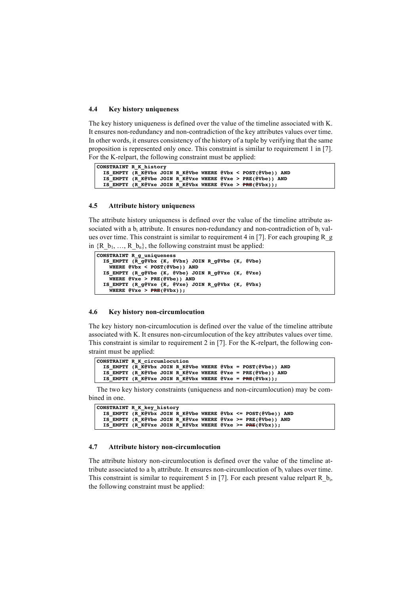#### **4.4 Key history uniqueness**

The key history uniqueness is defined over the value of the timeline associated with K. It ensures non-redundancy and non-contradiction of the key attributes values over time. In other words, it ensures consistency of the history of a tuple by verifying that the same proposition is represented only once. This constraint is similar to requirement 1 in [7]. For the K-relpart, the following constraint must be applied:

| CONSTRAINT R K history                                     |  |  |  |                                                             |  |  |
|------------------------------------------------------------|--|--|--|-------------------------------------------------------------|--|--|
|                                                            |  |  |  | IS EMPTY (R K@Vbx JOIN R K@Vbe WHERE @Vbx < POST(@Vbe)) AND |  |  |
|                                                            |  |  |  | IS EMPTY (R K@Vbe JOIN R K@Vxe WHERE @Vxe > PRE(@Vbe)) AND  |  |  |
| IS EMPTY (R K@Vxe JOIN R K@Vbx WHERE @Vxe > $PRE(eVbx)$ ); |  |  |  |                                                             |  |  |

#### **4.5 Attribute history uniqueness**

The attribute history uniqueness is defined over the value of the timeline attribute associated with a  $b_i$  attribute. It ensures non-redundancy and non-contradiction of  $b_i$  values over time. This constraint is similar to requirement 4 in [7]. For each grouping R  $g$ in  ${R_b_1, \ldots, R_b_n}$ , the following constraint must be applied:

```
CONSTRAINT R_g_uniqueness 
   IS_EMPTY (R_g@Vbx {K, @Vbx} JOIN R_g@Vbe {K, @Vbe} 
     WHERE @Vbx < POST(@Vbe)) AND
   IS_EMPTY (R_g@Vbe {K, @Vbe} JOIN R_g@Vxe {K, @Vxe}
     WHERE @Vxe > PRE(@Vbe)) AND
   IS_EMPTY (R_g@Vxe {K, @Vxe} JOIN R_g@Vbx {K, @Vbx} 
     WHERE @Vxe > PRE(@Vbx));
```
## **4.6 Key history non-circumlocution**

The key history non-circumlocution is defined over the value of the timeline attribute associated with K. It ensures non-circumlocution of the key attributes values over time. This constraint is similar to requirement 2 in [7]. For the K-relpart, the following constraint must be applied:

```
CONSTRAINT R_K_circumlocution
  IS_EMPTY (R, \overline{K}@Vbx JOIN R_K@Vbe WHERE @Vbx = POST(@Vbe)) AND
   IS_EMPTY (R_K@Vbe JOIN R_K@Vxe WHERE @Vxe = PRE(@Vbe)) AND
  IS_EMPTY (R_K@Vxe JOIN R_K@Vbx WHERE @Vxe = PRE(@Vbx));
```
The two key history constraints (uniqueness and non-circumlocution) may be combined in one.

```
CONSTRAINT R_K_key_history
  IS_EMPTY (R_K@Vbx JOIN R_K@Vbe WHERE @Vbx <= POST(@Vbe)) AND IS EMPTY (R_K@Vbe JOIN R_K@Vxe WHERE @Vxe >= PRE(@Vbe)) AND
                \overrightarrow{R-K}@Vbe JOIN \overrightarrow{R-K}@Vxe WHERE @Vxe >= PRE(@Vbe)) AND
    IS_EMPTY (R_K@Vxe JOIN R_K@Vbx WHERE @Vxe >= PRE(@Vbx));
```
#### **4.7 Attribute history non-circumlocution**

The attribute history non-circumlocution is defined over the value of the timeline attribute associated to a  $b_i$  attribute. It ensures non-circumlocution of  $b_i$  values over time. This constraint is similar to requirement 5 in [7]. For each present value relpart R  $b_i$ , the following constraint must be applied: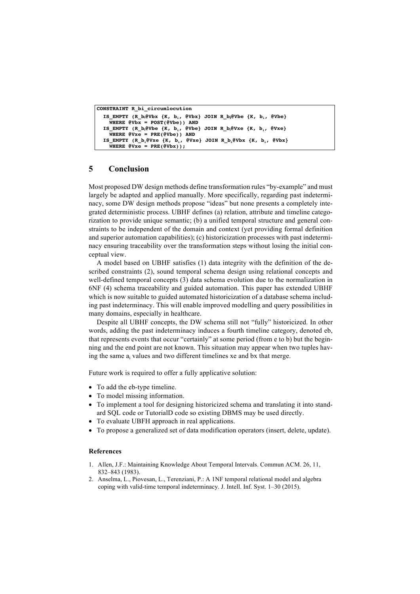```
CONSTRAINT R_bi_circumlocution
    IS_EMPTY (R_b<sub>i</sub>\thetaVbx {K, b<sub>i</sub>, \thetaVbx} JOIN R_b<sub>i</sub>\thetaVbe {K, b<sub>i</sub>, \thetaVbe}
       \overline{\text{w}}HERE \overline{\text{e}} vbx = POST(\overline{\text{e}} vbe)) AND
    IS_EMPTY (R_bi@Vbe {K, bi, @Vbe} JOIN R_bi@Vxe {K, bi, @Vxe}
       \overline{W}HERE \overline{e} \overline{v} = PRE(\overline{e}Vbe)) AND
 IS_EMPTY (R_b) @Vxe \{K, b_i, \emptyset\} JOIN R<sub>1</sub> @Vbx \{K, b_i, \emptyset\}<br>WHERE @Vxe = PRE(@Vbx));
```
## **5 Conclusion**

Most proposed DW design methods define transformation rules "by-example" and must largely be adapted and applied manually. More specifically, regarding past indeterminacy, some DW design methods propose "ideas" but none presents a completely integrated deterministic process. UBHF defines (a) relation, attribute and timeline categorization to provide unique semantic; (b) a unified temporal structure and general constraints to be independent of the domain and context (yet providing formal definition and superior automation capabilities); (c) historicization processes with past indeterminacy ensuring traceability over the transformation steps without losing the initial conceptual view.

A model based on UBHF satisfies (1) data integrity with the definition of the described constraints (2), sound temporal schema design using relational concepts and well-defined temporal concepts (3) data schema evolution due to the normalization in 6NF (4) schema traceability and guided automation. This paper has extended UBHF which is now suitable to guided automated historicization of a database schema including past indeterminacy. This will enable improved modelling and query possibilities in many domains, especially in healthcare.

Despite all UBHF concepts, the DW schema still not "fully" historicized. In other words, adding the past indeterminacy induces a fourth timeline category, denoted eb, that represents events that occur "certainly" at some period (from e to b) but the beginning and the end point are not known. This situation may appear when two tuples having the same ai values and two different timelines xe and bx that merge.

Future work is required to offer a fully applicative solution:

- To add the eb-type timeline.
- To model missing information.
- To implement a tool for designing historicized schema and translating it into standard SQL code or TutorialD code so existing DBMS may be used directly.
- To evaluate UBFH approach in real applications.
- To propose a generalized set of data modification operators (insert, delete, update).

### **References**

- 1. Allen, J.F.: Maintaining Knowledge About Temporal Intervals. Commun ACM. 26, 11, 832–843 (1983).
- 2. Anselma, L., Piovesan, L., Terenziani, P.: A 1NF temporal relational model and algebra coping with valid-time temporal indeterminacy. J. Intell. Inf. Syst. 1–30 (2015).